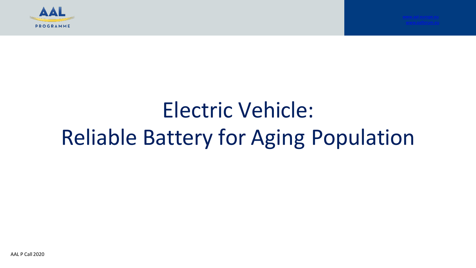

# Electric Vehicle: Reliable Battery for Aging Population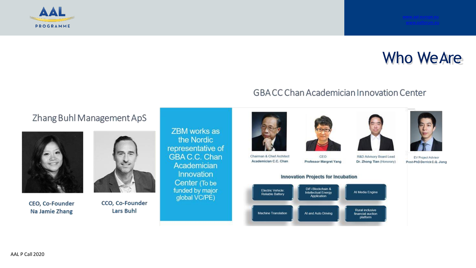

### Who WeAre

#### Zhang Buhl Management ApS



CEO, Co-Founder Na Jamie Zhang



CCO, Co-Founder **Lars Buhl** 

ZBM works as the Nordic representative of **GBA C.C. Chan** Academician Innovation Center (To be funded by major global VC/PE)









EV Project Advisor Post-PhD Derrick C.Q. Jiang



Academician C.C. Chan

CEO Professor Margret Yang

**GBACC Chan Academician Innovation Center** 

R&D Advisory Board Lead Dr. Zhong Tian (Honorary)

#### **Innovation Projects for Incubation**



AAL P Call 2020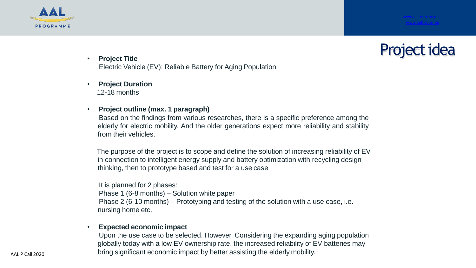





- **Project Title** Electric Vehicle (EV): Reliable Battery for Aging Population
- **Project Duration** 12-18 months
- **Project outline (max. 1 paragraph)**

Based on the findings from various researches, there is a specific preference among the elderly for electric mobility. And the older generations expect more reliability and stability from their vehicles.

The purpose of the project is to scope and define the solution of increasing reliability of EV in connection to intelligent energy supply and battery optimization with recycling design thinking, then to prototype based and test for a use case

It is planned for 2 phases: Phase 1 (6-8 months) – Solution white paper Phase 2 (6-10 months) – Prototyping and testing of the solution with a use case, i.e. nursing home etc.

#### • **Expected economic impact**

Upon the use case to be selected. However, Considering the expanding aging population globally today with a low EV ownership rate, the increased reliability of EV batteries may bring significant economic impact by better assisting the elderly mobility.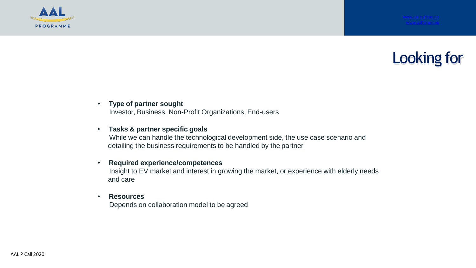



#### • **Type of partner sought**

Investor, Business, Non-Profit Organizations, End-users

#### • **Tasks & partner specific goals**

While we can handle the technological development side, the use case scenario and detailing the business requirements to be handled by the partner

#### • **Required experience/competences**

Insight to EV market and interest in growing the market, or experience with elderly needs and care

#### • **Resources**

Depends on collaboration model to be agreed